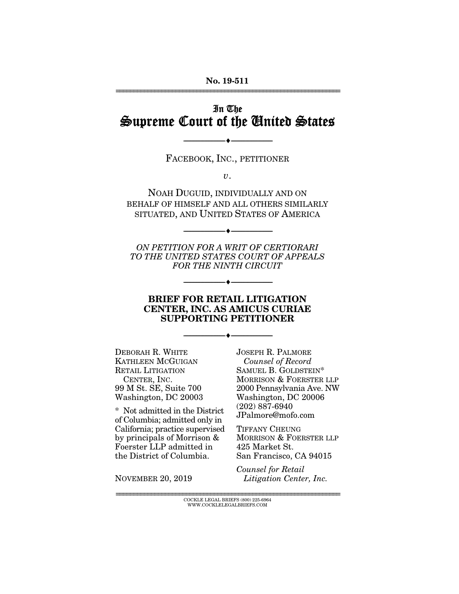#### No. 19-511 ================================================================

# In The Supreme Court of the United States

FACEBOOK, INC., PETITIONER

--------------------------------- ---------------------------------

*v*.

NOAH DUGUID, INDIVIDUALLY AND ON BEHALF OF HIMSELF AND ALL OTHERS SIMILARLY SITUATED, AND UNITED STATES OF AMERICA

*ON PETITION FOR A WRIT OF CERTIORARI TO THE UNITED STATES COURT OF APPEALS FOR THE NINTH CIRCUIT* 

--------------------------------- ---------------------------------

--------------------------------- ---------------------------------

#### BRIEF FOR RETAIL LITIGATION CENTER, INC. AS AMICUS CURIAE SUPPORTING PETITIONER

--------------------------------- ---------------------------------

DEBORAH R. WHITE KATHLEEN MCGUIGAN RETAIL LITIGATION CENTER, INC. 99 M St. SE, Suite 700 Washington, DC 20003

\* Not admitted in the District of Columbia; admitted only in California; practice supervised by principals of Morrison & Foerster LLP admitted in the District of Columbia.

JOSEPH R. PALMORE *Counsel of Record*  SAMUEL B. GOLDSTEIN\* MORRISON & FOERSTER LLP 2000 Pennsylvania Ave. NW Washington, DC 20006 (202) 887-6940 JPalmore@mofo.com

TIFFANY CHEUNG MORRISON & FOERSTER LLP 425 Market St. San Francisco, CA 94015

NOVEMBER 20, 2019

*Counsel for Retail Litigation Center, Inc.*

================================================================ COCKLE LEGAL BRIEFS (800) 225-6964 WWW.COCKLELEGALBRIEFS.COM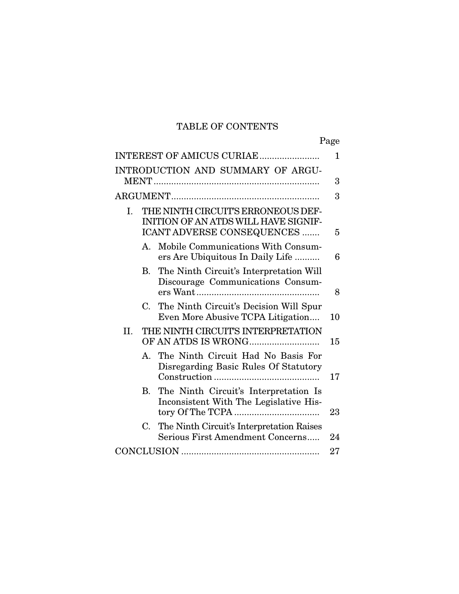# TABLE OF CONTENTS

|                                                                                                                | Page |
|----------------------------------------------------------------------------------------------------------------|------|
| INTEREST OF AMICUS CURIAE                                                                                      | 1    |
| INTRODUCTION AND SUMMARY OF ARGU-                                                                              | 3    |
|                                                                                                                | 3    |
| THE NINTH CIRCUIT'S ERRONEOUS DEF-<br>I.<br>INITION OF AN ATDS WILL HAVE SIGNIF-<br>ICANT ADVERSE CONSEQUENCES | 5    |
| Mobile Communications With Consum-<br>$A_{\cdot}$<br>ers Are Ubiquitous In Daily Life                          | 6    |
| The Ninth Circuit's Interpretation Will<br>В.<br>Discourage Communications Consum-                             | 8    |
| The Ninth Circuit's Decision Will Spur<br>$\mathbf C$<br>Even More Abusive TCPA Litigation                     | 10   |
| THE NINTH CIRCUIT'S INTERPRETATION<br>II.                                                                      | 15   |
| The Ninth Circuit Had No Basis For<br>$A_{\cdot}$<br>Disregarding Basic Rules Of Statutory                     | 17   |
| The Ninth Circuit's Interpretation Is<br><b>B.</b><br>Inconsistent With The Legislative His-                   | 23   |
| The Ninth Circuit's Interpretation Raises<br>C.<br>Serious First Amendment Concerns                            | 24   |
|                                                                                                                | 27   |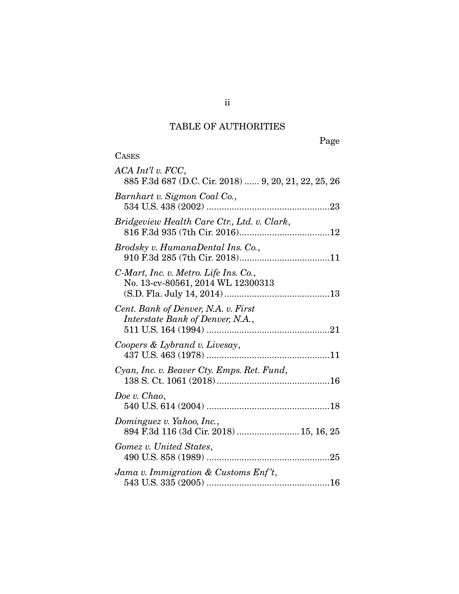# TABLE OF AUTHORITIES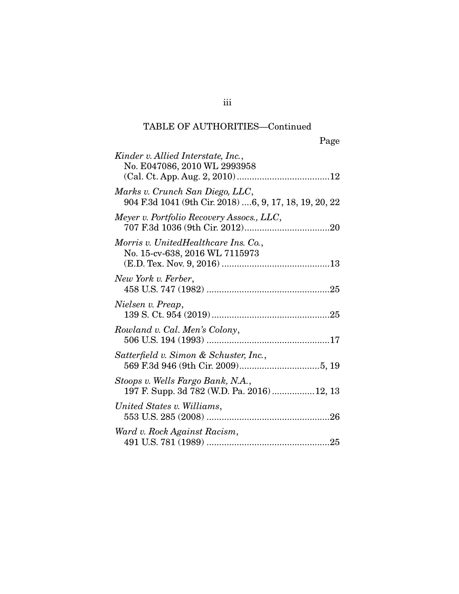| Kinder v. Allied Interstate, Inc.,<br>No. E047086, 2010 WL 2993958                        |
|-------------------------------------------------------------------------------------------|
| Marks v. Crunch San Diego, LLC,<br>904 F.3d 1041 (9th Cir. 2018) 6, 9, 17, 18, 19, 20, 22 |
| Meyer v. Portfolio Recovery Assocs., LLC,                                                 |
| Morris v. UnitedHealthcare Ins. Co.,<br>No. 15-cv-638, 2016 WL 7115973                    |
| New York v. Ferber,                                                                       |
| Nielsen v. Preap,                                                                         |
| Rowland v. Cal. Men's Colony,                                                             |
| Satterfield v. Simon & Schuster, Inc.,                                                    |
| Stoops v. Wells Fargo Bank, N.A.,<br>197 F. Supp. 3d 782 (W.D. Pa. 2016)12, 13            |
| United States v. Williams,                                                                |
| Ward v. Rock Against Racism,                                                              |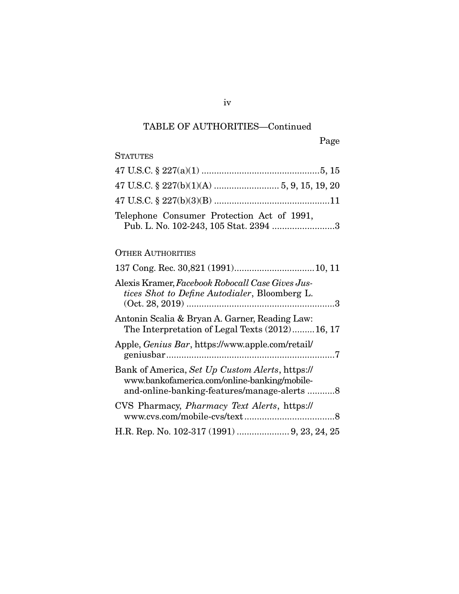Page

## **STATUTES**

| Telephone Consumer Protection Act of 1991,<br>Pub. L. No. 102-243, 105 Stat. 2394 3 |  |
|-------------------------------------------------------------------------------------|--|

## OTHER AUTHORITIES

| Alexis Kramer, Facebook Robocall Case Gives Jus-<br>tices Shot to Define Autodialer, Bloomberg L.                                              |
|------------------------------------------------------------------------------------------------------------------------------------------------|
| Antonin Scalia & Bryan A. Garner, Reading Law:<br>The Interpretation of Legal Texts (2012)16, 17                                               |
| Apple, <i>Genius Bar</i> , https://www.apple.com/retail/                                                                                       |
| Bank of America, Set Up Custom Alerts, https://<br>www.bankofamerica.com/online-banking/mobile-<br>and-online-banking-features/manage-alerts 8 |
| CVS Pharmacy, <i>Pharmacy Text Alerts</i> , https://                                                                                           |
| H.R. Rep. No. 102-317 (1991)  9, 23, 24, 25                                                                                                    |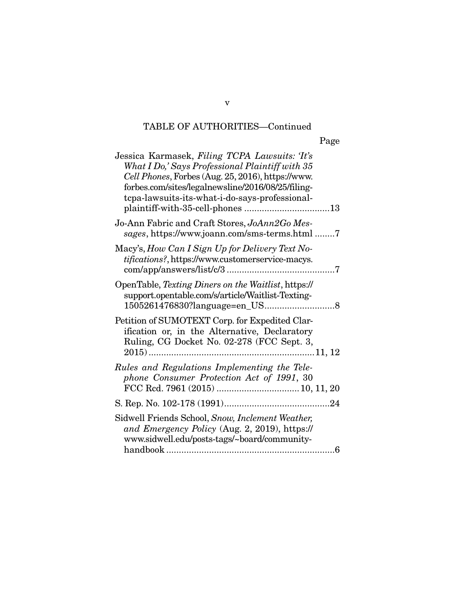| ۲<br>'aº<br>ρ |
|---------------|
|---------------|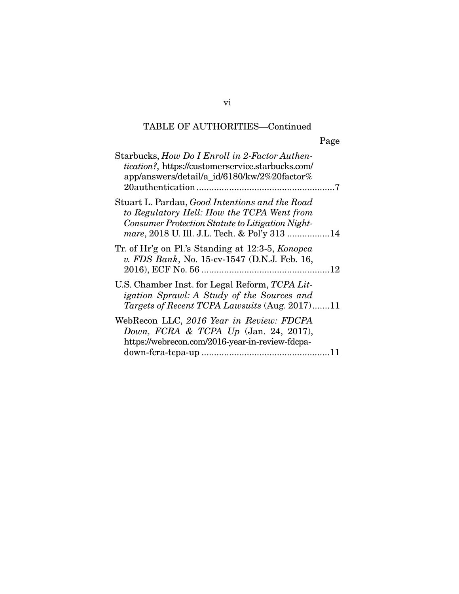Page

| Starbucks, How Do I Enroll in 2-Factor Authen-<br><i>tication?</i> , https://customerservice.starbucks.com/<br>app/answers/detail/a_id/6180/kw/2%20factor%                                              |  |
|---------------------------------------------------------------------------------------------------------------------------------------------------------------------------------------------------------|--|
| Stuart L. Pardau, <i>Good Intentions and the Road</i><br>to Regulatory Hell: How the TCPA Went from<br>Consumer Protection Statute to Litigation Night-<br>mare, 2018 U. Ill. J.L. Tech. & Pol'y 313 14 |  |
| Tr. of Hr'g on Pl.'s Standing at 12:3-5, Konopca<br>v. FDS Bank, No. 15-cv-1547 (D.N.J. Feb. 16,                                                                                                        |  |
| U.S. Chamber Inst. for Legal Reform, TCPA Lit-<br>igation Sprawl: A Study of the Sources and<br>Targets of Recent TCPA Lawsuits (Aug. 2017)11                                                           |  |
| WebRecon LLC, 2016 Year in Review: FDCPA<br>Down, FCRA & TCPA Up (Jan. 24, 2017),<br>https://webrecon.com/2016-year-in-review-fdcpa-                                                                    |  |
|                                                                                                                                                                                                         |  |

vi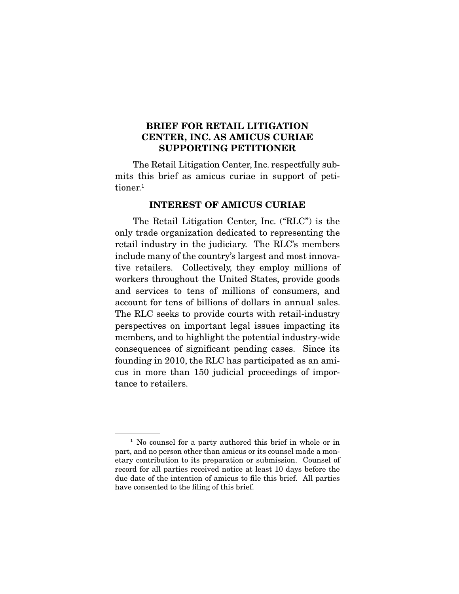### BRIEF FOR RETAIL LITIGATION CENTER, INC. AS AMICUS CURIAE SUPPORTING PETITIONER

The Retail Litigation Center, Inc. respectfully submits this brief as amicus curiae in support of petitioner.<sup>1</sup>

#### INTEREST OF AMICUS CURIAE

The Retail Litigation Center, Inc. ("RLC") is the only trade organization dedicated to representing the retail industry in the judiciary. The RLC's members include many of the country's largest and most innovative retailers. Collectively, they employ millions of workers throughout the United States, provide goods and services to tens of millions of consumers, and account for tens of billions of dollars in annual sales. The RLC seeks to provide courts with retail-industry perspectives on important legal issues impacting its members, and to highlight the potential industry-wide consequences of significant pending cases. Since its founding in 2010, the RLC has participated as an amicus in more than 150 judicial proceedings of importance to retailers.

<sup>&</sup>lt;sup>1</sup> No counsel for a party authored this brief in whole or in part, and no person other than amicus or its counsel made a monetary contribution to its preparation or submission. Counsel of record for all parties received notice at least 10 days before the due date of the intention of amicus to file this brief. All parties have consented to the filing of this brief.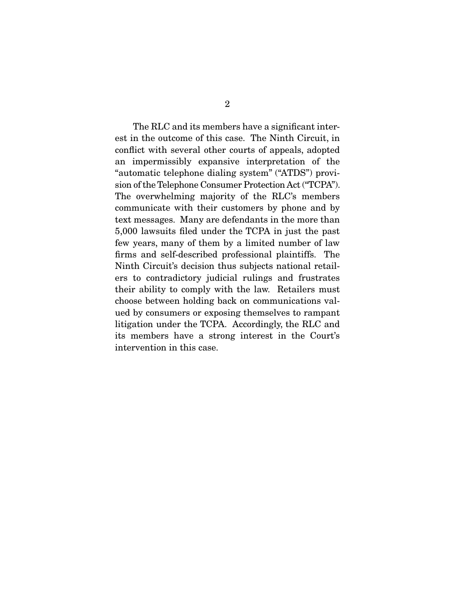The RLC and its members have a significant interest in the outcome of this case. The Ninth Circuit, in conflict with several other courts of appeals, adopted an impermissibly expansive interpretation of the "automatic telephone dialing system" ("ATDS") provision of the Telephone Consumer Protection Act ("TCPA"). The overwhelming majority of the RLC's members communicate with their customers by phone and by text messages. Many are defendants in the more than 5,000 lawsuits filed under the TCPA in just the past few years, many of them by a limited number of law firms and self-described professional plaintiffs. The Ninth Circuit's decision thus subjects national retailers to contradictory judicial rulings and frustrates their ability to comply with the law. Retailers must choose between holding back on communications valued by consumers or exposing themselves to rampant litigation under the TCPA. Accordingly, the RLC and its members have a strong interest in the Court's intervention in this case.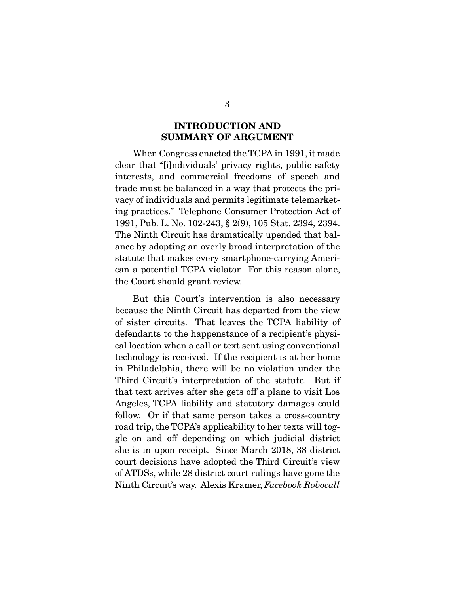### INTRODUCTION AND SUMMARY OF ARGUMENT

When Congress enacted the TCPA in 1991, it made clear that "[i]ndividuals' privacy rights, public safety interests, and commercial freedoms of speech and trade must be balanced in a way that protects the privacy of individuals and permits legitimate telemarketing practices." Telephone Consumer Protection Act of 1991, Pub. L. No. 102-243, § 2(9), 105 Stat. 2394, 2394. The Ninth Circuit has dramatically upended that balance by adopting an overly broad interpretation of the statute that makes every smartphone-carrying American a potential TCPA violator. For this reason alone, the Court should grant review.

 But this Court's intervention is also necessary because the Ninth Circuit has departed from the view of sister circuits. That leaves the TCPA liability of defendants to the happenstance of a recipient's physical location when a call or text sent using conventional technology is received. If the recipient is at her home in Philadelphia, there will be no violation under the Third Circuit's interpretation of the statute. But if that text arrives after she gets off a plane to visit Los Angeles, TCPA liability and statutory damages could follow. Or if that same person takes a cross-country road trip, the TCPA's applicability to her texts will toggle on and off depending on which judicial district she is in upon receipt. Since March 2018, 38 district court decisions have adopted the Third Circuit's view of ATDSs, while 28 district court rulings have gone the Ninth Circuit's way. Alexis Kramer, *Facebook Robocall*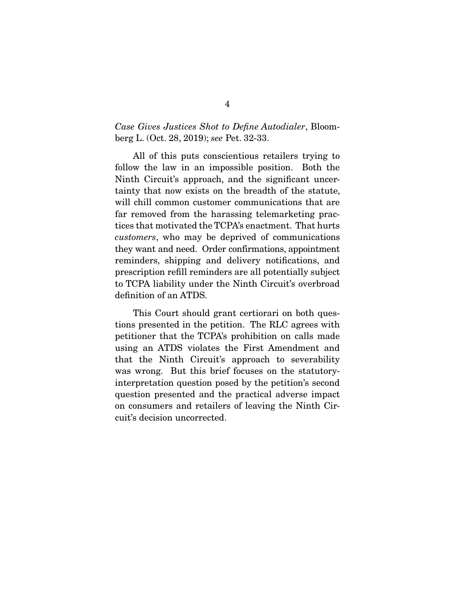#### *Case Gives Justices Shot to Define Autodialer*, Bloomberg L. (Oct. 28, 2019); *see* Pet. 32-33.

 All of this puts conscientious retailers trying to follow the law in an impossible position. Both the Ninth Circuit's approach, and the significant uncertainty that now exists on the breadth of the statute, will chill common customer communications that are far removed from the harassing telemarketing practices that motivated the TCPA's enactment. That hurts *customers*, who may be deprived of communications they want and need. Order confirmations, appointment reminders, shipping and delivery notifications, and prescription refill reminders are all potentially subject to TCPA liability under the Ninth Circuit's overbroad definition of an ATDS.

 This Court should grant certiorari on both questions presented in the petition. The RLC agrees with petitioner that the TCPA's prohibition on calls made using an ATDS violates the First Amendment and that the Ninth Circuit's approach to severability was wrong. But this brief focuses on the statutoryinterpretation question posed by the petition's second question presented and the practical adverse impact on consumers and retailers of leaving the Ninth Circuit's decision uncorrected.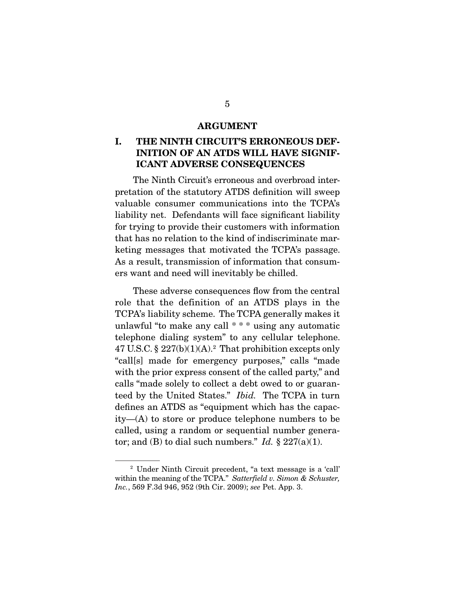#### ARGUMENT

## I. THE NINTH CIRCUIT'S ERRONEOUS DEF-INITION OF AN ATDS WILL HAVE SIGNIF-ICANT ADVERSE CONSEQUENCES

The Ninth Circuit's erroneous and overbroad interpretation of the statutory ATDS definition will sweep valuable consumer communications into the TCPA's liability net. Defendants will face significant liability for trying to provide their customers with information that has no relation to the kind of indiscriminate marketing messages that motivated the TCPA's passage. As a result, transmission of information that consumers want and need will inevitably be chilled.

 These adverse consequences flow from the central role that the definition of an ATDS plays in the TCPA's liability scheme. The TCPA generally makes it unlawful "to make any call \* \* \* using any automatic telephone dialing system" to any cellular telephone.  $47$  U.S.C. §  $227(b)(1)(A).<sup>2</sup>$  That prohibition excepts only "call[s] made for emergency purposes," calls "made with the prior express consent of the called party," and calls "made solely to collect a debt owed to or guaranteed by the United States." *Ibid.* The TCPA in turn defines an ATDS as "equipment which has the capacity—(A) to store or produce telephone numbers to be called, using a random or sequential number generator; and (B) to dial such numbers." *Id.*  $\S 227(a)(1)$ .

<sup>2</sup> Under Ninth Circuit precedent, "a text message is a 'call' within the meaning of the TCPA." *Satterfield v. Simon & Schuster, Inc.*, 569 F.3d 946, 952 (9th Cir. 2009); *see* Pet. App. 3.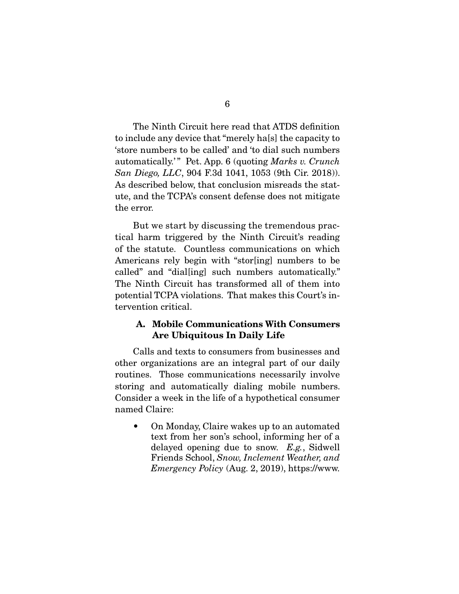6

 The Ninth Circuit here read that ATDS definition to include any device that "merely ha[s] the capacity to 'store numbers to be called' and 'to dial such numbers automatically.'" Pet. App. 6 (quoting *Marks v. Crunch*) *San Diego, LLC*, 904 F.3d 1041, 1053 (9th Cir. 2018)). As described below, that conclusion misreads the statute, and the TCPA's consent defense does not mitigate the error.

 But we start by discussing the tremendous practical harm triggered by the Ninth Circuit's reading of the statute. Countless communications on which Americans rely begin with "stor[ing] numbers to be called" and "dial[ing] such numbers automatically." The Ninth Circuit has transformed all of them into potential TCPA violations. That makes this Court's intervention critical.

#### A. Mobile Communications With Consumers Are Ubiquitous In Daily Life

Calls and texts to consumers from businesses and other organizations are an integral part of our daily routines. Those communications necessarily involve storing and automatically dialing mobile numbers. Consider a week in the life of a hypothetical consumer named Claire:

• On Monday, Claire wakes up to an automated text from her son's school, informing her of a delayed opening due to snow. *E.g.*, Sidwell Friends School, *Snow, Inclement Weather, and Emergency Policy* (Aug. 2, 2019), https://www.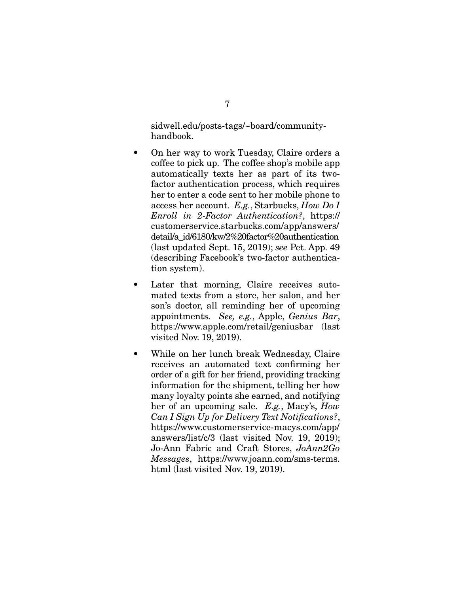sidwell.edu/posts-tags/~board/communityhandbook.

- On her way to work Tuesday, Claire orders a coffee to pick up. The coffee shop's mobile app automatically texts her as part of its twofactor authentication process, which requires her to enter a code sent to her mobile phone to access her account. *E.g.*, Starbucks, *How Do I Enroll in 2-Factor Authentication?*, https:// customerservice.starbucks.com/app/answers/ detail/a\_id/6180/kw/2%20factor%20authentication (last updated Sept. 15, 2019); *see* Pet. App. 49 (describing Facebook's two-factor authentication system).
- Later that morning, Claire receives automated texts from a store, her salon, and her son's doctor, all reminding her of upcoming appointments. *See, e.g.*, Apple, *Genius Bar*, https://www.apple.com/retail/geniusbar (last visited Nov. 19, 2019).
- While on her lunch break Wednesday, Claire receives an automated text confirming her order of a gift for her friend, providing tracking information for the shipment, telling her how many loyalty points she earned, and notifying her of an upcoming sale. *E.g.*, Macy's, *How Can I Sign Up for Delivery Text Notifications?*, https://www.customerservice-macys.com/app/ answers/list/c/3 (last visited Nov. 19, 2019); Jo-Ann Fabric and Craft Stores, *JoAnn2Go Messages*, https://www.joann.com/sms-terms. html (last visited Nov. 19, 2019).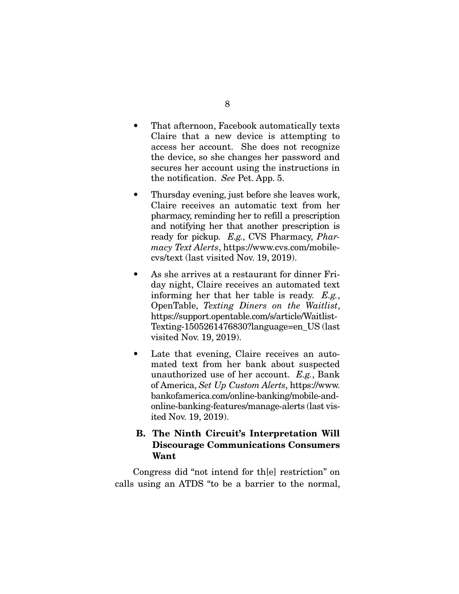- That afternoon, Facebook automatically texts Claire that a new device is attempting to access her account. She does not recognize the device, so she changes her password and secures her account using the instructions in the notification. *See* Pet. App. 5.
- Thursday evening, just before she leaves work, Claire receives an automatic text from her pharmacy, reminding her to refill a prescription and notifying her that another prescription is ready for pickup. *E.g.*, CVS Pharmacy, *Pharmacy Text Alerts*, https://www.cvs.com/mobilecvs/text (last visited Nov. 19, 2019).
- As she arrives at a restaurant for dinner Friday night, Claire receives an automated text informing her that her table is ready. *E.g.*, OpenTable, *Texting Diners on the Waitlist*, https://support.opentable.com/s/article/Waitlist-Texting-1505261476830?language=en\_US (last visited Nov. 19, 2019).
- Late that evening, Claire receives an automated text from her bank about suspected unauthorized use of her account. *E.g.*, Bank of America, *Set Up Custom Alerts*, https://www. bankofamerica.com/online-banking/mobile-andonline-banking-features/manage-alerts (last visited Nov. 19, 2019).

#### B. The Ninth Circuit's Interpretation Will Discourage Communications Consumers Want

Congress did "not intend for th[e] restriction" on calls using an ATDS "to be a barrier to the normal,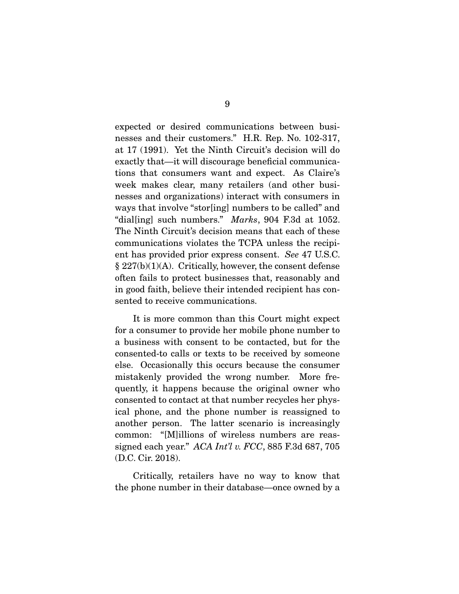expected or desired communications between businesses and their customers." H.R. Rep. No. 102-317, at 17 (1991). Yet the Ninth Circuit's decision will do exactly that—it will discourage beneficial communications that consumers want and expect. As Claire's week makes clear, many retailers (and other businesses and organizations) interact with consumers in ways that involve "stor[ing] numbers to be called" and "dial[ing] such numbers." *Marks*, 904 F.3d at 1052. The Ninth Circuit's decision means that each of these communications violates the TCPA unless the recipient has provided prior express consent. *See* 47 U.S.C.  $\S 227(b)(1)(A)$ . Critically, however, the consent defense often fails to protect businesses that, reasonably and in good faith, believe their intended recipient has consented to receive communications.

 It is more common than this Court might expect for a consumer to provide her mobile phone number to a business with consent to be contacted, but for the consented-to calls or texts to be received by someone else. Occasionally this occurs because the consumer mistakenly provided the wrong number. More frequently, it happens because the original owner who consented to contact at that number recycles her physical phone, and the phone number is reassigned to another person. The latter scenario is increasingly common: "[M]illions of wireless numbers are reassigned each year." *ACA Int'l v. FCC*, 885 F.3d 687, 705 (D.C. Cir. 2018).

 Critically, retailers have no way to know that the phone number in their database—once owned by a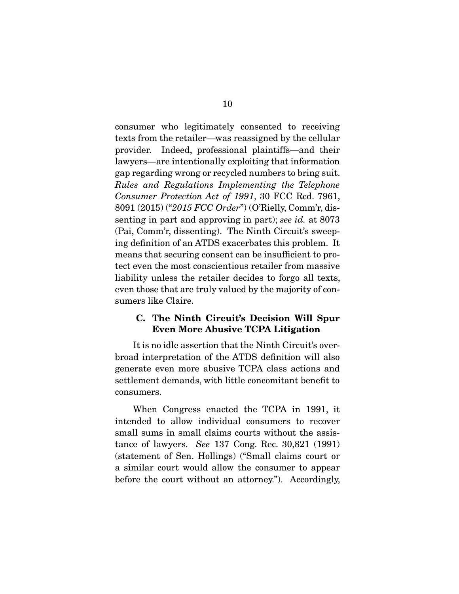consumer who legitimately consented to receiving texts from the retailer—was reassigned by the cellular provider. Indeed, professional plaintiffs—and their lawyers—are intentionally exploiting that information gap regarding wrong or recycled numbers to bring suit. *Rules and Regulations Implementing the Telephone Consumer Protection Act of 1991*, 30 FCC Rcd. 7961, 8091 (2015) ("*2015 FCC Order*") (O'Rielly, Comm'r, dissenting in part and approving in part); *see id.* at 8073 (Pai, Comm'r, dissenting). The Ninth Circuit's sweeping definition of an ATDS exacerbates this problem. It means that securing consent can be insufficient to protect even the most conscientious retailer from massive liability unless the retailer decides to forgo all texts, even those that are truly valued by the majority of consumers like Claire.

### C. The Ninth Circuit's Decision Will Spur Even More Abusive TCPA Litigation

It is no idle assertion that the Ninth Circuit's overbroad interpretation of the ATDS definition will also generate even more abusive TCPA class actions and settlement demands, with little concomitant benefit to consumers.

 When Congress enacted the TCPA in 1991, it intended to allow individual consumers to recover small sums in small claims courts without the assistance of lawyers. *See* 137 Cong. Rec. 30,821 (1991) (statement of Sen. Hollings) ("Small claims court or a similar court would allow the consumer to appear before the court without an attorney."). Accordingly,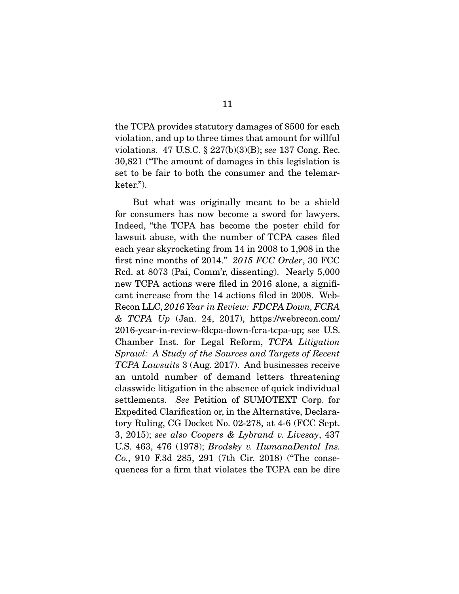the TCPA provides statutory damages of \$500 for each violation, and up to three times that amount for willful violations. 47 U.S.C. § 227(b)(3)(B); *see* 137 Cong. Rec. 30,821 ("The amount of damages in this legislation is set to be fair to both the consumer and the telemarketer.").

 But what was originally meant to be a shield for consumers has now become a sword for lawyers. Indeed, "the TCPA has become the poster child for lawsuit abuse, with the number of TCPA cases filed each year skyrocketing from 14 in 2008 to 1,908 in the first nine months of 2014." *2015 FCC Order*, 30 FCC Rcd. at 8073 (Pai, Comm'r, dissenting). Nearly 5,000 new TCPA actions were filed in 2016 alone, a significant increase from the 14 actions filed in 2008. Web-Recon LLC, *2016 Year in Review: FDCPA Down, FCRA & TCPA Up* (Jan. 24, 2017), https://webrecon.com/ 2016-year-in-review-fdcpa-down-fcra-tcpa-up; *see* U.S. Chamber Inst. for Legal Reform, *TCPA Litigation Sprawl: A Study of the Sources and Targets of Recent TCPA Lawsuits* 3 (Aug. 2017). And businesses receive an untold number of demand letters threatening classwide litigation in the absence of quick individual settlements. *See* Petition of SUMOTEXT Corp. for Expedited Clarification or, in the Alternative, Declaratory Ruling, CG Docket No. 02-278, at 4-6 (FCC Sept. 3, 2015); *see also Coopers & Lybrand v. Livesay*, 437 U.S. 463, 476 (1978); *Brodsky v. HumanaDental Ins. Co.*, 910 F.3d 285, 291 (7th Cir. 2018) ("The consequences for a firm that violates the TCPA can be dire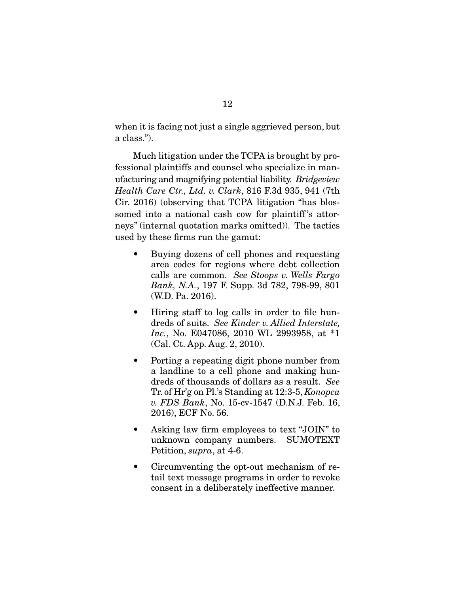when it is facing not just a single aggrieved person, but a class.").

 Much litigation under the TCPA is brought by professional plaintiffs and counsel who specialize in manufacturing and magnifying potential liability. *Bridgeview Health Care Ctr., Ltd. v. Clark*, 816 F.3d 935, 941 (7th Cir. 2016) (observing that TCPA litigation "has blossomed into a national cash cow for plaintiff's attorneys" (internal quotation marks omitted)). The tactics used by these firms run the gamut:

- Buying dozens of cell phones and requesting area codes for regions where debt collection calls are common. *See Stoops v. Wells Fargo Bank, N.A.*, 197 F. Supp. 3d 782, 798-99, 801 (W.D. Pa. 2016).
- Hiring staff to log calls in order to file hundreds of suits. *See Kinder v. Allied Interstate, Inc.*, No. E047086, 2010 WL 2993958, at \*1 (Cal. Ct. App. Aug. 2, 2010).
- Porting a repeating digit phone number from a landline to a cell phone and making hundreds of thousands of dollars as a result. *See* Tr. of Hr'g on Pl.'s Standing at 12:3-5, *Konopca v. FDS Bank*, No. 15-cv-1547 (D.N.J. Feb. 16, 2016), ECF No. 56.
- Asking law firm employees to text "JOIN" to unknown company numbers. SUMOTEXT Petition, *supra*, at 4-6.
- Circumventing the opt-out mechanism of retail text message programs in order to revoke consent in a deliberately ineffective manner.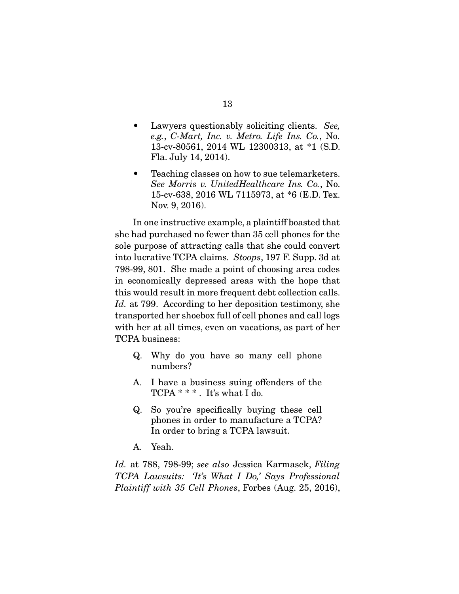- Lawyers questionably soliciting clients. *See, e.g.*, *C-Mart, Inc. v. Metro. Life Ins. Co.*, No. 13-cv-80561, 2014 WL 12300313, at \*1 (S.D. Fla. July 14, 2014).
- Teaching classes on how to sue telemarketers. *See Morris v. UnitedHealthcare Ins. Co.*, No. 15-cv-638, 2016 WL 7115973, at \*6 (E.D. Tex. Nov. 9, 2016).

 In one instructive example, a plaintiff boasted that she had purchased no fewer than 35 cell phones for the sole purpose of attracting calls that she could convert into lucrative TCPA claims. *Stoops*, 197 F. Supp. 3d at 798-99, 801. She made a point of choosing area codes in economically depressed areas with the hope that this would result in more frequent debt collection calls. *Id.* at 799. According to her deposition testimony, she transported her shoebox full of cell phones and call logs with her at all times, even on vacations, as part of her TCPA business:

- Q. Why do you have so many cell phone numbers?
- A. I have a business suing offenders of the TCPA \* \* \* . It's what I do.
- Q. So you're specifically buying these cell phones in order to manufacture a TCPA? In order to bring a TCPA lawsuit.
- A. Yeah.

*Id.* at 788, 798-99; *see also* Jessica Karmasek, *Filing TCPA Lawsuits: 'It's What I Do,' Says Professional Plaintiff with 35 Cell Phones*, Forbes (Aug. 25, 2016),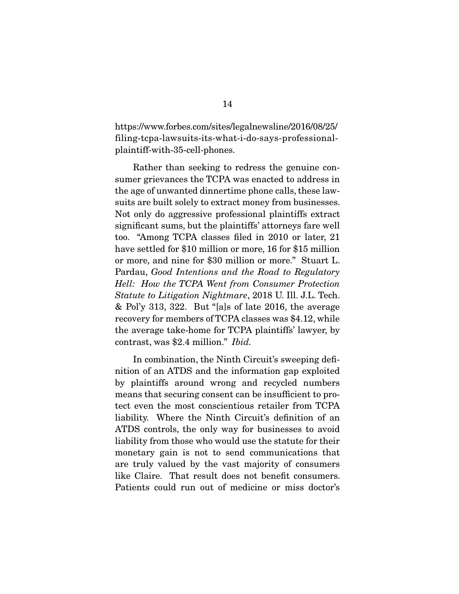https://www.forbes.com/sites/legalnewsline/2016/08/25/ filing-tcpa-lawsuits-its-what-i-do-says-professionalplaintiff-with-35-cell-phones.

 Rather than seeking to redress the genuine consumer grievances the TCPA was enacted to address in the age of unwanted dinnertime phone calls, these lawsuits are built solely to extract money from businesses. Not only do aggressive professional plaintiffs extract significant sums, but the plaintiffs' attorneys fare well too. "Among TCPA classes filed in 2010 or later, 21 have settled for \$10 million or more, 16 for \$15 million or more, and nine for \$30 million or more." Stuart L. Pardau, *Good Intentions and the Road to Regulatory Hell: How the TCPA Went from Consumer Protection Statute to Litigation Nightmare*, 2018 U. Ill. J.L. Tech. & Pol'y 313, 322. But "[a]s of late 2016, the average recovery for members of TCPA classes was \$4.12, while the average take-home for TCPA plaintiffs' lawyer, by contrast, was \$2.4 million." *Ibid.* 

In combination, the Ninth Circuit's sweeping definition of an ATDS and the information gap exploited by plaintiffs around wrong and recycled numbers means that securing consent can be insufficient to protect even the most conscientious retailer from TCPA liability. Where the Ninth Circuit's definition of an ATDS controls, the only way for businesses to avoid liability from those who would use the statute for their monetary gain is not to send communications that are truly valued by the vast majority of consumers like Claire. That result does not benefit consumers. Patients could run out of medicine or miss doctor's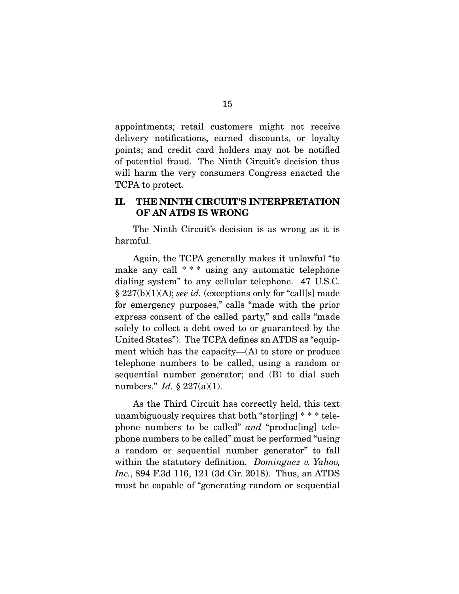appointments; retail customers might not receive delivery notifications, earned discounts, or loyalty points; and credit card holders may not be notified of potential fraud. The Ninth Circuit's decision thus will harm the very consumers Congress enacted the TCPA to protect.

#### II. THE NINTH CIRCUIT'S INTERPRETATION OF AN ATDS IS WRONG

The Ninth Circuit's decision is as wrong as it is harmful.

 Again, the TCPA generally makes it unlawful "to make any call \*\*\* using any automatic telephone dialing system" to any cellular telephone. 47 U.S.C. § 227(b)(1)(A); *see id.* (exceptions only for "call[s] made for emergency purposes," calls "made with the prior express consent of the called party," and calls "made solely to collect a debt owed to or guaranteed by the United States"). The TCPA defines an ATDS as "equipment which has the capacity— $(A)$  to store or produce telephone numbers to be called, using a random or sequential number generator; and (B) to dial such numbers." *Id.* § 227(a)(1).

 As the Third Circuit has correctly held, this text unambiguously requires that both "stor[ing] \* \* \* telephone numbers to be called" *and* "produc[ing] telephone numbers to be called" must be performed "using a random or sequential number generator" to fall within the statutory definition. *Dominguez v. Yahoo, Inc.*, 894 F.3d 116, 121 (3d Cir. 2018). Thus, an ATDS must be capable of "generating random or sequential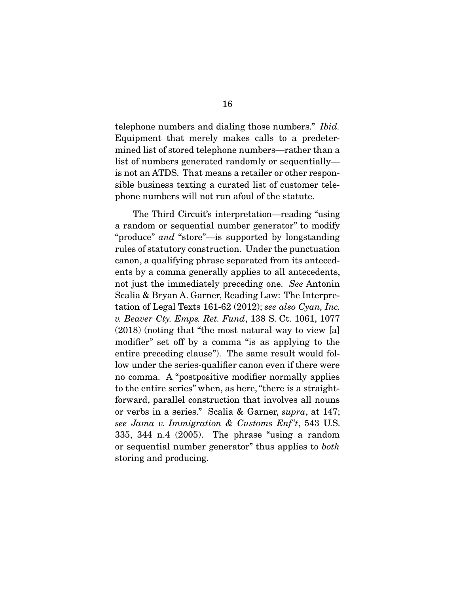telephone numbers and dialing those numbers." *Ibid.* Equipment that merely makes calls to a predetermined list of stored telephone numbers—rather than a list of numbers generated randomly or sequentially is not an ATDS. That means a retailer or other responsible business texting a curated list of customer telephone numbers will not run afoul of the statute.

 The Third Circuit's interpretation—reading "using a random or sequential number generator" to modify "produce" *and* "store"—is supported by longstanding rules of statutory construction. Under the punctuation canon, a qualifying phrase separated from its antecedents by a comma generally applies to all antecedents, not just the immediately preceding one. *See* Antonin Scalia & Bryan A. Garner, Reading Law: The Interpretation of Legal Texts 161-62 (2012); *see also Cyan, Inc. v. Beaver Cty. Emps. Ret. Fund*, 138 S. Ct. 1061, 1077 (2018) (noting that "the most natural way to view [a] modifier" set off by a comma "is as applying to the entire preceding clause"). The same result would follow under the series-qualifier canon even if there were no comma. A "postpositive modifier normally applies to the entire series" when, as here, "there is a straightforward, parallel construction that involves all nouns or verbs in a series." Scalia & Garner, *supra*, at 147; *see Jama v. Immigration & Customs Enf 't*, 543 U.S. 335, 344 n.4 (2005). The phrase "using a random or sequential number generator" thus applies to *both* storing and producing.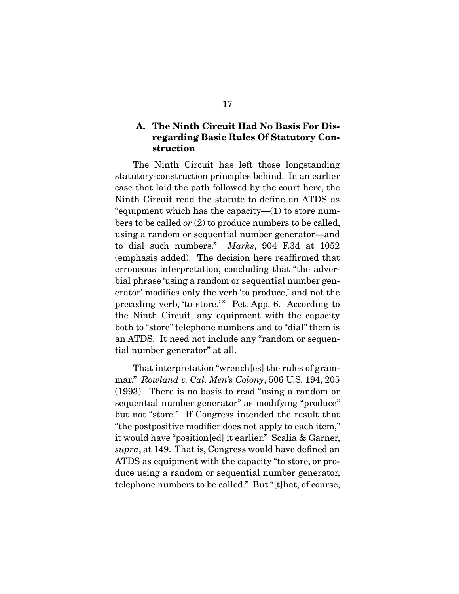### A. The Ninth Circuit Had No Basis For Disregarding Basic Rules Of Statutory Construction

The Ninth Circuit has left those longstanding statutory-construction principles behind. In an earlier case that laid the path followed by the court here, the Ninth Circuit read the statute to define an ATDS as "equipment which has the capacity— $(1)$  to store numbers to be called *or* (2) to produce numbers to be called, using a random or sequential number generator—and to dial such numbers." *Marks*, 904 F.3d at 1052 (emphasis added). The decision here reaffirmed that erroneous interpretation, concluding that "the adverbial phrase 'using a random or sequential number generator' modifies only the verb 'to produce,' and not the preceding verb, 'to store.'" Pet. App. 6. According to the Ninth Circuit, any equipment with the capacity both to "store" telephone numbers and to "dial" them is an ATDS. It need not include any "random or sequential number generator" at all.

 That interpretation "wrench[es] the rules of grammar." *Rowland v. Cal. Men's Colony*, 506 U.S. 194, 205 (1993). There is no basis to read "using a random or sequential number generator" as modifying "produce" but not "store." If Congress intended the result that "the postpositive modifier does not apply to each item," it would have "position[ed] it earlier." Scalia & Garner, *supra*, at 149. That is, Congress would have defined an ATDS as equipment with the capacity "to store, or produce using a random or sequential number generator, telephone numbers to be called." But "[t]hat, of course,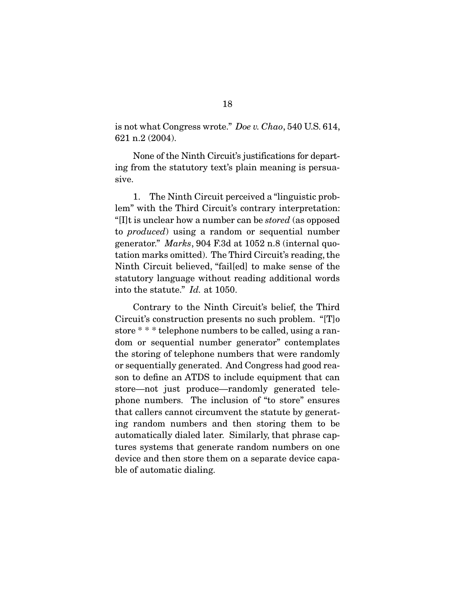is not what Congress wrote." *Doe v. Chao*, 540 U.S. 614, 621 n.2 (2004).

 None of the Ninth Circuit's justifications for departing from the statutory text's plain meaning is persuasive.

 1. The Ninth Circuit perceived a "linguistic problem" with the Third Circuit's contrary interpretation: "[I]t is unclear how a number can be *stored* (as opposed to *produced*) using a random or sequential number generator." *Marks*, 904 F.3d at 1052 n.8 (internal quotation marks omitted). The Third Circuit's reading, the Ninth Circuit believed, "fail[ed] to make sense of the statutory language without reading additional words into the statute." *Id.* at 1050.

 Contrary to the Ninth Circuit's belief, the Third Circuit's construction presents no such problem. "[T]o store \* \* \* telephone numbers to be called, using a random or sequential number generator" contemplates the storing of telephone numbers that were randomly or sequentially generated. And Congress had good reason to define an ATDS to include equipment that can store—not just produce—randomly generated telephone numbers. The inclusion of "to store" ensures that callers cannot circumvent the statute by generating random numbers and then storing them to be automatically dialed later. Similarly, that phrase captures systems that generate random numbers on one device and then store them on a separate device capable of automatic dialing.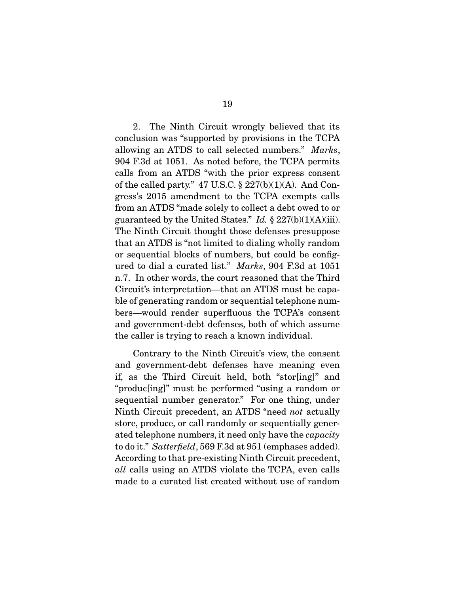2. The Ninth Circuit wrongly believed that its conclusion was "supported by provisions in the TCPA allowing an ATDS to call selected numbers." *Marks*, 904 F.3d at 1051. As noted before, the TCPA permits calls from an ATDS "with the prior express consent of the called party."  $47 \text{ U.S.C.} \$  $227(b)(1)(A)$ . And Congress's 2015 amendment to the TCPA exempts calls from an ATDS "made solely to collect a debt owed to or guaranteed by the United States." *Id.* § 227(b)(1)(A)(iii). The Ninth Circuit thought those defenses presuppose that an ATDS is "not limited to dialing wholly random or sequential blocks of numbers, but could be configured to dial a curated list." *Marks*, 904 F.3d at 1051 n.7. In other words, the court reasoned that the Third Circuit's interpretation—that an ATDS must be capable of generating random or sequential telephone numbers—would render superfluous the TCPA's consent and government-debt defenses, both of which assume the caller is trying to reach a known individual.

 Contrary to the Ninth Circuit's view, the consent and government-debt defenses have meaning even if, as the Third Circuit held, both "stor[ing]" and "produc[ing]" must be performed "using a random or sequential number generator." For one thing, under Ninth Circuit precedent, an ATDS "need *not* actually store, produce, or call randomly or sequentially generated telephone numbers, it need only have the *capacity* to do it." *Satterfield*, 569 F.3d at 951 (emphases added). According to that pre-existing Ninth Circuit precedent, *all* calls using an ATDS violate the TCPA, even calls made to a curated list created without use of random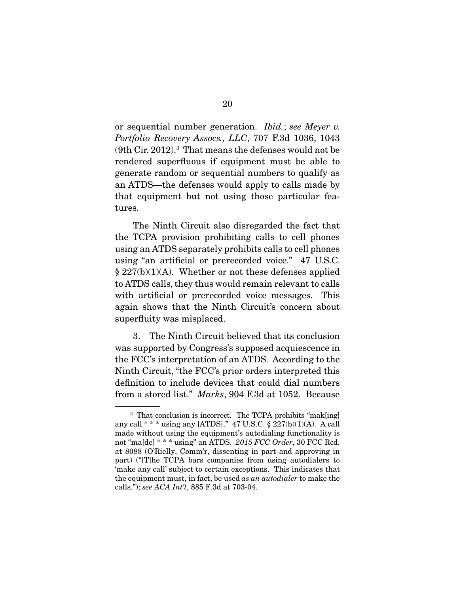or sequential number generation. *Ibid.*; *see Meyer v. Portfolio Recovery Assocs., LLC*, 707 F.3d 1036, 1043 (9th Cir. 2012).3 That means the defenses would not be rendered superfluous if equipment must be able to generate random or sequential numbers to qualify as an ATDS—the defenses would apply to calls made by that equipment but not using those particular features.

 The Ninth Circuit also disregarded the fact that the TCPA provision prohibiting calls to cell phones using an ATDS separately prohibits calls to cell phones using "an artificial or prerecorded voice." 47 U.S.C.  $§ 227(b)(1)(A)$ . Whether or not these defenses applied to ATDS calls, they thus would remain relevant to calls with artificial or prerecorded voice messages. This again shows that the Ninth Circuit's concern about superfluity was misplaced.

 3. The Ninth Circuit believed that its conclusion was supported by Congress's supposed acquiescence in the FCC's interpretation of an ATDS. According to the Ninth Circuit, "the FCC's prior orders interpreted this definition to include devices that could dial numbers from a stored list." *Marks*, 904 F.3d at 1052. Because

<sup>&</sup>lt;sup>3</sup> That conclusion is incorrect. The TCPA prohibits "mak[ing] any call  $**$  \* using any [ATDS]." 47 U.S.C. § 227(b)(1)(A). A call made without using the equipment's autodialing functionality is not "ma[de] \* \* \* using" an ATDS. *2015 FCC Order*, 30 FCC Rcd. at 8088 (O'Rielly, Comm'r, dissenting in part and approving in part) ("[T]he TCPA bars companies from using autodialers to 'make any call' subject to certain exceptions. This indicates that the equipment must, in fact, be used *as an autodialer* to make the calls."); *see ACA Int'l*, 885 F.3d at 703-04.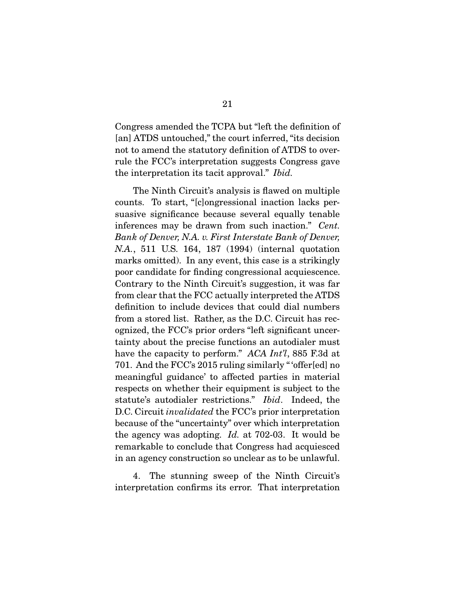Congress amended the TCPA but "left the definition of [an] ATDS untouched," the court inferred, "its decision not to amend the statutory definition of ATDS to overrule the FCC's interpretation suggests Congress gave the interpretation its tacit approval." *Ibid.*

 The Ninth Circuit's analysis is flawed on multiple counts. To start, "[c]ongressional inaction lacks persuasive significance because several equally tenable inferences may be drawn from such inaction." *Cent. Bank of Denver, N.A. v. First Interstate Bank of Denver, N.A.*, 511 U.S. 164, 187 (1994) (internal quotation marks omitted). In any event, this case is a strikingly poor candidate for finding congressional acquiescence. Contrary to the Ninth Circuit's suggestion, it was far from clear that the FCC actually interpreted the ATDS definition to include devices that could dial numbers from a stored list. Rather, as the D.C. Circuit has recognized, the FCC's prior orders "left significant uncertainty about the precise functions an autodialer must have the capacity to perform." *ACA Int'l*, 885 F.3d at 701. And the FCC's 2015 ruling similarly " 'offer[ed] no meaningful guidance' to affected parties in material respects on whether their equipment is subject to the statute's autodialer restrictions." *Ibid*. Indeed, the D.C. Circuit *invalidated* the FCC's prior interpretation because of the "uncertainty" over which interpretation the agency was adopting. *Id.* at 702-03. It would be remarkable to conclude that Congress had acquiesced in an agency construction so unclear as to be unlawful.

 4. The stunning sweep of the Ninth Circuit's interpretation confirms its error. That interpretation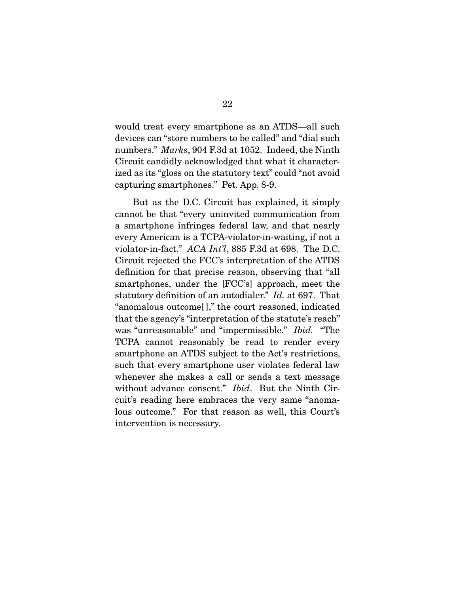would treat every smartphone as an ATDS—all such devices can "store numbers to be called" and "dial such numbers." *Marks*, 904 F.3d at 1052. Indeed, the Ninth Circuit candidly acknowledged that what it characterized as its "gloss on the statutory text" could "not avoid capturing smartphones." Pet. App. 8-9.

 But as the D.C. Circuit has explained, it simply cannot be that "every uninvited communication from a smartphone infringes federal law, and that nearly every American is a TCPA-violator-in-waiting, if not a violator-in-fact." *ACA Int'l*, 885 F.3d at 698. The D.C. Circuit rejected the FCC's interpretation of the ATDS definition for that precise reason, observing that "all smartphones, under the [FCC's] approach, meet the statutory definition of an autodialer." *Id.* at 697. That "anomalous outcome[ ]," the court reasoned, indicated that the agency's "interpretation of the statute's reach" was "unreasonable" and "impermissible." *Ibid.* "The TCPA cannot reasonably be read to render every smartphone an ATDS subject to the Act's restrictions, such that every smartphone user violates federal law whenever she makes a call or sends a text message without advance consent." *Ibid*. But the Ninth Circuit's reading here embraces the very same "anomalous outcome." For that reason as well, this Court's intervention is necessary.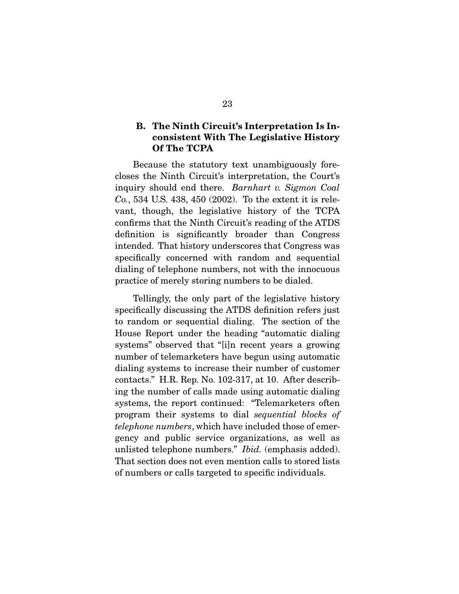#### B. The Ninth Circuit's Interpretation Is Inconsistent With The Legislative History Of The TCPA

Because the statutory text unambiguously forecloses the Ninth Circuit's interpretation, the Court's inquiry should end there. *Barnhart v. Sigmon Coal Co.*, 534 U.S. 438, 450 (2002). To the extent it is relevant, though, the legislative history of the TCPA confirms that the Ninth Circuit's reading of the ATDS definition is significantly broader than Congress intended. That history underscores that Congress was specifically concerned with random and sequential dialing of telephone numbers, not with the innocuous practice of merely storing numbers to be dialed.

 Tellingly, the only part of the legislative history specifically discussing the ATDS definition refers just to random or sequential dialing. The section of the House Report under the heading "automatic dialing systems" observed that "[i]n recent years a growing number of telemarketers have begun using automatic dialing systems to increase their number of customer contacts." H.R. Rep. No. 102-317, at 10. After describing the number of calls made using automatic dialing systems, the report continued: "Telemarketers often program their systems to dial *sequential blocks of telephone numbers*, which have included those of emergency and public service organizations, as well as unlisted telephone numbers." *Ibid.* (emphasis added). That section does not even mention calls to stored lists of numbers or calls targeted to specific individuals.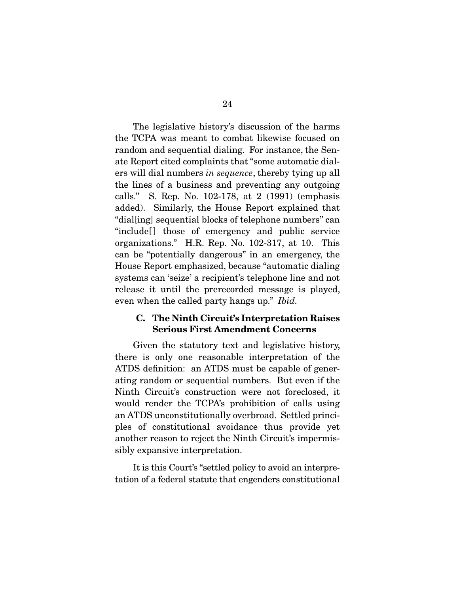The legislative history's discussion of the harms the TCPA was meant to combat likewise focused on random and sequential dialing. For instance, the Senate Report cited complaints that "some automatic dialers will dial numbers *in sequence*, thereby tying up all the lines of a business and preventing any outgoing calls." S. Rep. No. 102-178, at 2 (1991) (emphasis added). Similarly, the House Report explained that "dial[ing] sequential blocks of telephone numbers" can "include<sup>[]</sup> those of emergency and public service" organizations." H.R. Rep. No. 102-317, at 10. This can be "potentially dangerous" in an emergency, the House Report emphasized, because "automatic dialing systems can 'seize' a recipient's telephone line and not release it until the prerecorded message is played, even when the called party hangs up." *Ibid.*

### C. The Ninth Circuit's Interpretation Raises Serious First Amendment Concerns

Given the statutory text and legislative history, there is only one reasonable interpretation of the ATDS definition: an ATDS must be capable of generating random or sequential numbers. But even if the Ninth Circuit's construction were not foreclosed, it would render the TCPA's prohibition of calls using an ATDS unconstitutionally overbroad. Settled principles of constitutional avoidance thus provide yet another reason to reject the Ninth Circuit's impermissibly expansive interpretation.

 It is this Court's "settled policy to avoid an interpretation of a federal statute that engenders constitutional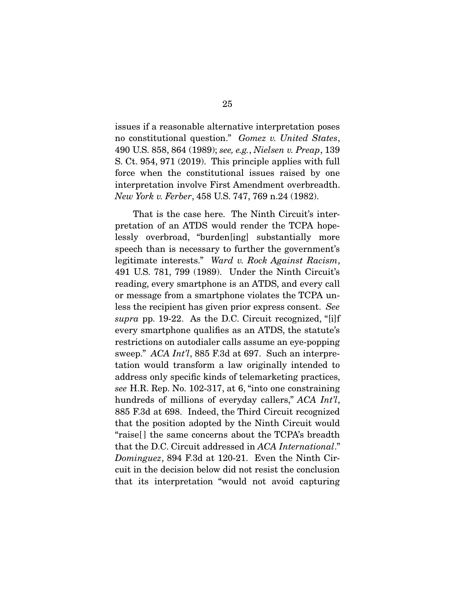issues if a reasonable alternative interpretation poses no constitutional question." *Gomez v. United States*, 490 U.S. 858, 864 (1989); *see, e.g.*, *Nielsen v. Preap*, 139 S. Ct. 954, 971 (2019). This principle applies with full force when the constitutional issues raised by one interpretation involve First Amendment overbreadth. *New York v. Ferber*, 458 U.S. 747, 769 n.24 (1982).

 That is the case here. The Ninth Circuit's interpretation of an ATDS would render the TCPA hopelessly overbroad, "burden[ing] substantially more speech than is necessary to further the government's legitimate interests." *Ward v. Rock Against Racism*, 491 U.S. 781, 799 (1989). Under the Ninth Circuit's reading, every smartphone is an ATDS, and every call or message from a smartphone violates the TCPA unless the recipient has given prior express consent. *See supra* pp. 19-22. As the D.C. Circuit recognized, "[i]f every smartphone qualifies as an ATDS, the statute's restrictions on autodialer calls assume an eye-popping sweep." *ACA Int'l*, 885 F.3d at 697. Such an interpretation would transform a law originally intended to address only specific kinds of telemarketing practices, *see* H.R. Rep. No. 102-317, at 6, "into one constraining hundreds of millions of everyday callers," *ACA Int'l*, 885 F.3d at 698. Indeed, the Third Circuit recognized that the position adopted by the Ninth Circuit would "raise<sup>[]</sup> the same concerns about the TCPA's breadth that the D.C. Circuit addressed in *ACA International*." *Dominguez*, 894 F.3d at 120-21. Even the Ninth Circuit in the decision below did not resist the conclusion that its interpretation "would not avoid capturing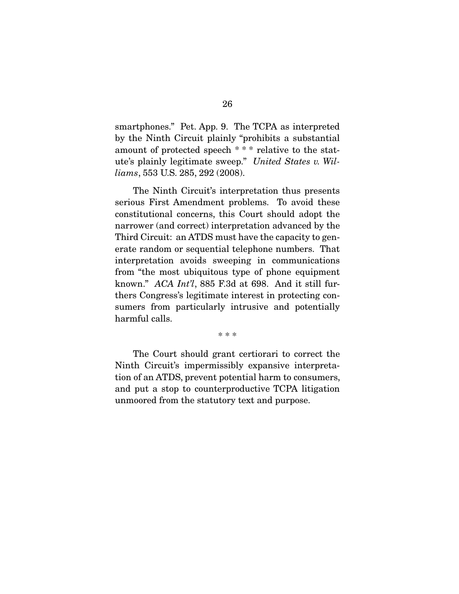smartphones." Pet. App. 9. The TCPA as interpreted by the Ninth Circuit plainly "prohibits a substantial amount of protected speech \* \* \* relative to the statute's plainly legitimate sweep." *United States v. Williams*, 553 U.S. 285, 292 (2008).

 The Ninth Circuit's interpretation thus presents serious First Amendment problems. To avoid these constitutional concerns, this Court should adopt the narrower (and correct) interpretation advanced by the Third Circuit: an ATDS must have the capacity to generate random or sequential telephone numbers. That interpretation avoids sweeping in communications from "the most ubiquitous type of phone equipment known." *ACA Int'l*, 885 F.3d at 698. And it still furthers Congress's legitimate interest in protecting consumers from particularly intrusive and potentially harmful calls.

\* \* \*

 The Court should grant certiorari to correct the Ninth Circuit's impermissibly expansive interpretation of an ATDS, prevent potential harm to consumers, and put a stop to counterproductive TCPA litigation unmoored from the statutory text and purpose.